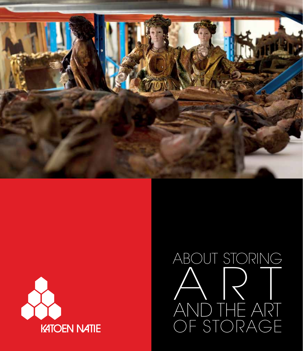



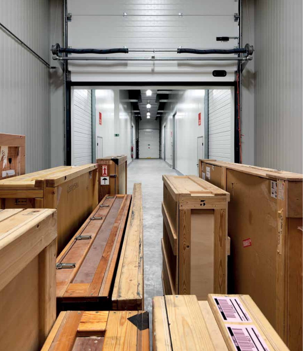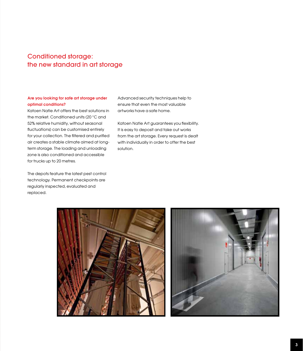# Conditioned storage: the new standard in art storage

#### Are you looking for safe art storage under optimal conditions?

Katoen Natie Art offers the best solutions in the market. Conditioned units (20 °C and 52% relative humidity, without seasonal fluctuations) can be customised entirely for your collection. The filtered and purified air creates a stable climate aimed at longterm storage. The loading and unloading zone is also conditioned and accessible for trucks up to 20 metres.

The depots feature the latest pest control technology. Permanent checkpoints are regularly inspected, evaluated and replaced.

Advanced security techniques help to ensure that even the most valuable artworks have a safe home.

Katoen Natie Art guarantees you flexibility. It is easy to deposit and take out works from the art storage. Every request is dealt with individually in order to offer the best solution.



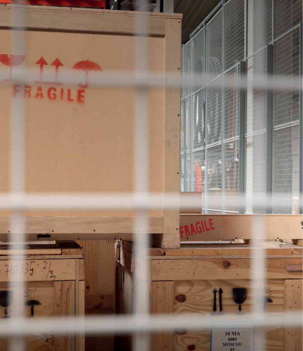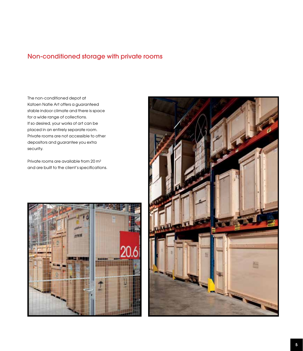### Non-conditioned storage with private rooms

The non-conditioned depot at Katoen Natie Art offers a guaranteed stable indoor climate and there is space for a wide range of collections. If so desired, your works of art can be placed in an entirely separate room. Private rooms are not accessible to other depositors and guarantee you extra security.

Private rooms are available from 20 m² and are built to the client's specifications.



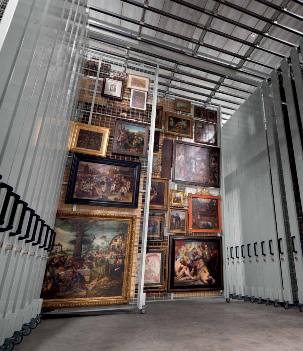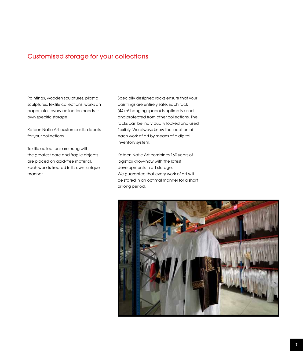### Customised storage for your collections

Paintings, wooden sculptures, plastic sculptures, textile collections, works on paper, etc.: every collection needs its own specific storage.

Katoen Natie Art customises its depots for your collections.

Textile collections are hung with the greatest care and fragile objects are placed on acid-free material. Each work is treated in its own, unique manner.

Specially designed racks ensure that your paintings are entirely safe. Each rack (44 m² hanging space) is optimally used and protected from other collections. The racks can be individually locked and used flexibly. We always know the location of each work of art by means of a digital inventory system.

Katoen Natie Art combines 160 years of logistics know-how with the latest developments in art storage. We guarantee that every work of art will be stored in an optimal manner for a short or long period.